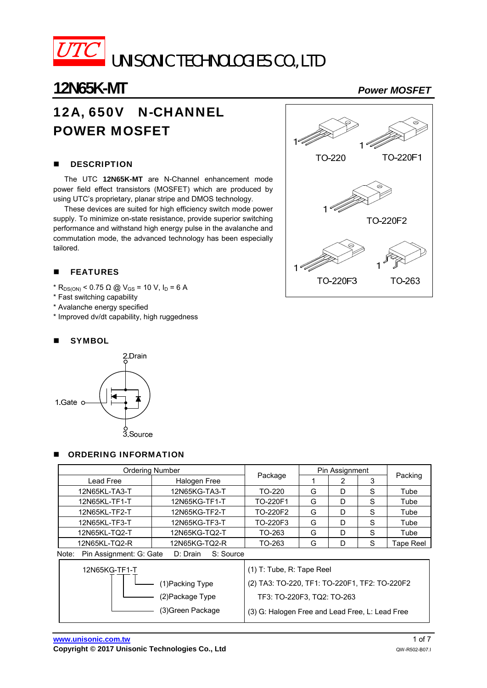

# 12A, 650V N-CHANNEL POWER MOSFET

#### **DESCRIPTION**

The UTC **12N65K-MT** are N-Channel enhancement mode power field effect transistors (MOSFET) which are produced by using UTC's proprietary, planar stripe and DMOS technology.

These devices are suited for high efficiency switch mode power supply. To minimize on-state resistance, provide superior switching performance and withstand high energy pulse in the avalanche and commutation mode, the advanced technology has been especially tailored.

### **FEATURES**

- $*$  R<sub>DS(ON)</sub> < 0.75 Ω @ V<sub>GS</sub> = 10 V, I<sub>D</sub> = 6 A
- \* Fast switching capability
- \* Avalanche energy specified
- \* Improved dv/dt capability, high ruggedness

#### **SYMBOL**



#### ORDERING INFORMATION

| Ordering Number                                           |                                                                               |                                                                              | Pin Assignment |   |   |           |  |
|-----------------------------------------------------------|-------------------------------------------------------------------------------|------------------------------------------------------------------------------|----------------|---|---|-----------|--|
| Lead Free                                                 | Halogen Free                                                                  | Package                                                                      |                | 2 | 3 | Packing   |  |
| 12N65KL-TA3-T<br>12N65KG-TA3-T                            |                                                                               | TO-220                                                                       | G              | D | S | Tube      |  |
| 12N65KL-TF1-T                                             | 12N65KG-TF1-T                                                                 | TO-220F1                                                                     | G              | D | S | Tube      |  |
| 12N65KL-TF2-T                                             | 12N65KG-TF2-T                                                                 | TO-220F2                                                                     | G              | D | S | Tube      |  |
| 12N65KL-TF3-T                                             | 12N65KG-TF3-T                                                                 | TO-220F3                                                                     | G              | D | S | Tube      |  |
| 12N65KL-TQ2-T                                             | 12N65KG-TQ2-T                                                                 | TO-263                                                                       | G              | D | S | Tube      |  |
| 12N65KL-TQ2-R                                             | 12N65KG-TQ2-R                                                                 | TO-263                                                                       | G              | D | S | Tape Reel |  |
| Pin Assignment: G: Gate<br>S: Source<br>Note:<br>D: Drain |                                                                               |                                                                              |                |   |   |           |  |
| 12N65KG-TF1-T<br>(1) Packing Type<br>(2) Package Type     |                                                                               | $(1)$ T: Tube, R: Tape Reel<br>(2) TA3: TO-220, TF1: TO-220F1, TF2: TO-220F2 |                |   |   |           |  |
|                                                           | TF3: TO-220F3, TQ2: TO-263<br>(3) G: Halogen Free and Lead Free, L: Lead Free |                                                                              |                |   |   |           |  |

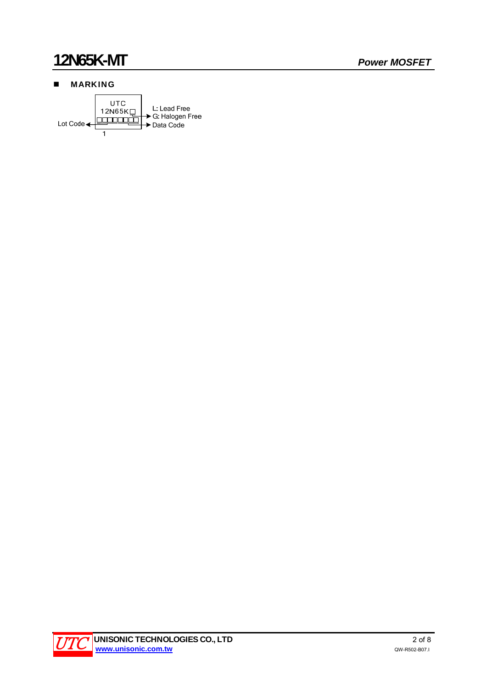### **MARKING**



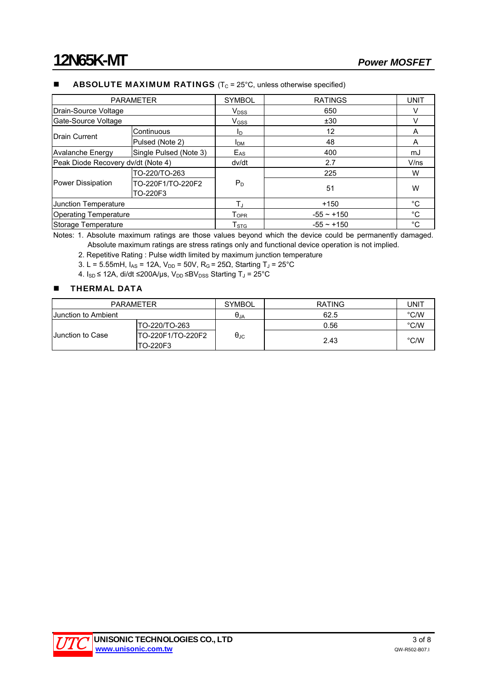#### **ABSOLUTE MAXIMUM RATINGS** ( $T_c$  = 25 $^{\circ}$ C, unless otherwise specified)

| <b>PARAMETER</b>                   |                               | <b>SYMBOL</b>               | <b>RATINGS</b>  | <b>UNIT</b> |
|------------------------------------|-------------------------------|-----------------------------|-----------------|-------------|
| Drain-Source Voltage               |                               | <b>V</b> <sub>DSS</sub>     | 650             |             |
| Gate-Source Voltage                |                               | $V_{\rm GSS}$               | ±30             |             |
| Drain Current                      | Continuous                    | I <sub>D</sub>              | 12              | A           |
|                                    | Pulsed (Note 2)               | <b>I</b> <sub>DM</sub>      | 48              | A           |
| <b>Avalanche Energy</b>            | Single Pulsed (Note 3)        | $E_{AS}$                    | 400             | mJ          |
| Peak Diode Recovery dv/dt (Note 4) |                               | dv/dt                       | 2.7             | V/ns        |
| Power Dissipation                  | TO-220/TO-263                 |                             | 225             | W           |
|                                    | TO-220F1/TO-220F2<br>TO-220F3 | $P_D$                       | 51              | W           |
| Junction Temperature               |                               | T.                          | $+150$          | °C          |
| <b>Operating Temperature</b>       |                               | $\mathsf{T}_{\mathsf{OPR}}$ | $-55 \sim +150$ | $^{\circ}C$ |
| Storage Temperature                |                               | $\mathsf{T}_{\text{STG}}$   | $-55 \sim +150$ | °C          |

Notes: 1. Absolute maximum ratings are those values beyond which the device could be permanently damaged. Absolute maximum ratings are stress ratings only and functional device operation is not implied.

2. Repetitive Rating : Pulse width limited by maximum junction temperature

3. L = 5.55mH,  $I_{AS}$  = 12A,  $V_{DD}$  = 50V, R<sub>G</sub> = 25Ω, Starting T<sub>J</sub> = 25°C

4.  $I_{SD}$  ≤ 12A, di/dt ≤200A/µs,  $V_{DD}$  ≤B $V_{DSS}$  Starting T<sub>J</sub> = 25°C

#### **THERMAL DATA**

| <b>PARAMETER</b>           |                               | <b>SYMBOL</b>          | <b>RATING</b> | UNIT          |
|----------------------------|-------------------------------|------------------------|---------------|---------------|
| <b>Uunction to Ambient</b> |                               | $\theta_{\mathsf{JA}}$ | 62.5          | °C/W          |
| <b>Uunction to Case</b>    | TO-220/TO-263                 |                        | 0.56          | °C/W          |
|                            | TO-220F1/TO-220F2<br>TO-220F3 | $\theta_{\text{JC}}$   | 2.43          | $\degree$ C/W |

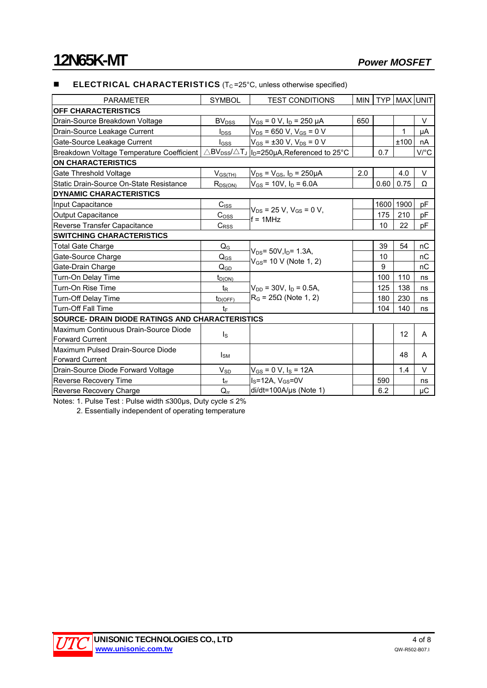#### **ELECTRICAL CHARACTERISTICS** ( $T<sub>C</sub> = 25$ °C, unless otherwise specified)

| <b>PARAMETER</b>                                       | <b>SYMBOL</b>                                         | <b>TEST CONDITIONS</b>                                                                                | <b>MIN</b> | <b>TYP</b> |      | <b>MAX UNIT</b> |  |  |
|--------------------------------------------------------|-------------------------------------------------------|-------------------------------------------------------------------------------------------------------|------------|------------|------|-----------------|--|--|
| OFF CHARACTERISTICS                                    |                                                       |                                                                                                       |            |            |      |                 |  |  |
| Drain-Source Breakdown Voltage                         | <b>BV</b> <sub>DSS</sub>                              | $V_{GS}$ = 0 V, $I_D$ = 250 $\mu$ A                                                                   | 650        |            |      | V               |  |  |
| Drain-Source Leakage Current                           | <b>l</b> <sub>DSS</sub>                               | $V_{DS}$ = 650 V, V <sub>GS</sub> = 0 V                                                               |            |            | 1    | μA              |  |  |
| Gate-Source Leakage Current                            | $I_{GSS}$                                             | $V_{GS}$ = ±30 V, $V_{DS}$ = 0 V                                                                      |            |            | ±100 | nA              |  |  |
| Breakdown Voltage Temperature Coefficient              |                                                       | $\triangle$ BV <sub>DSS</sub> / $\triangle$ T <sub>J</sub>   <sub>ID</sub> =250µA, Referenced to 25°C |            | 0.7        |      | V/°C            |  |  |
| <b>ON CHARACTERISTICS</b>                              |                                                       |                                                                                                       |            |            |      |                 |  |  |
| Gate Threshold Voltage                                 | $V_{GS(TH)}$<br>$V_{DS} = V_{GS}$ , $I_D = 250 \mu A$ |                                                                                                       | 2.0        |            | 4.0  | $\vee$          |  |  |
| Static Drain-Source On-State Resistance                | $R_{DS(ON)}$                                          | $V_{GS}$ = 10V, $I_D$ = 6.0A                                                                          |            | 0.60       | 0.75 | Ω               |  |  |
| <b>DYNAMIC CHARACTERISTICS</b>                         |                                                       |                                                                                                       |            |            |      |                 |  |  |
| Input Capacitance                                      | $C_{ISS}$                                             | $V_{DS}$ = 25 V, $V_{GS}$ = 0 V,                                                                      |            | 1600       | 1900 | рF              |  |  |
| <b>Output Capacitance</b>                              | $C_{\text{OSS}}$                                      | $f = 1$ MHz                                                                                           |            | 175        | 210  | pF              |  |  |
| Reverse Transfer Capacitance                           | $C_{\text{RSS}}$                                      |                                                                                                       |            | 10         | 22   | рF              |  |  |
| <b>SWITCHING CHARACTERISTICS</b>                       |                                                       |                                                                                                       |            |            |      |                 |  |  |
| Total Gate Charge                                      | $Q_{\rm G}$                                           | $V_{DS}$ = 50V, $I_D$ = 1.3A,<br>$V_{GS}$ = 10 V (Note 1, 2)                                          |            | 39         | 54   | nC              |  |  |
| Gate-Source Charge                                     | $\mathsf{Q}_{\mathsf{GS}}$                            |                                                                                                       |            | 10         |      | nC              |  |  |
| Gate-Drain Charge                                      | $Q_{GD}$                                              |                                                                                                       |            | 9          |      | nC              |  |  |
| Turn-On Delay Time                                     | $t_{D(ON)}$                                           | $V_{DD}$ = 30V, $I_D$ = 0.5A,<br>$R_G$ = 25 $\Omega$ (Note 1, 2)                                      |            | 100        | 110  | ns              |  |  |
| Turn-On Rise Time                                      | $t_{\mathsf{R}}$                                      |                                                                                                       |            | 125        | 138  | ns              |  |  |
| Turn-Off Delay Time                                    | $t_{D(OFF)}$                                          |                                                                                                       |            | 180        | 230  | ns              |  |  |
| <b>Turn-Off Fall Time</b>                              | tF                                                    |                                                                                                       |            | 104        | 140  | ns              |  |  |
| <b>SOURCE- DRAIN DIODE RATINGS AND CHARACTERISTICS</b> |                                                       |                                                                                                       |            |            |      |                 |  |  |
| Maximum Continuous Drain-Source Diode                  |                                                       |                                                                                                       |            |            | 12   | A               |  |  |
| <b>Forward Current</b>                                 | $\mathsf{I}_\mathsf{S}$                               |                                                                                                       |            |            |      |                 |  |  |
| Maximum Pulsed Drain-Source Diode                      | <sub>sM</sub>                                         |                                                                                                       |            |            | 48   | A               |  |  |
| <b>Forward Current</b>                                 |                                                       |                                                                                                       |            |            |      |                 |  |  |
| Drain-Source Diode Forward Voltage                     | <b>V<sub>SD</sub></b>                                 | $V_{GS}$ = 0 V, $I_S$ = 12A                                                                           |            |            | 1.4  | $\vee$          |  |  |
| Reverse Recovery Time                                  | $t_{rr}$                                              | $I_S = 12A$ , $V_{GS} = 0V$                                                                           |            | 590        |      | ns              |  |  |
| Reverse Recovery Charge                                | $Q_{rr}$                                              | di/dt=100A/µs (Note 1)                                                                                |            | 6.2        |      | μC              |  |  |

Notes: 1. Pulse Test : Pulse width ≤300μs, Duty cycle ≤ 2%

2. Essentially independent of operating temperature

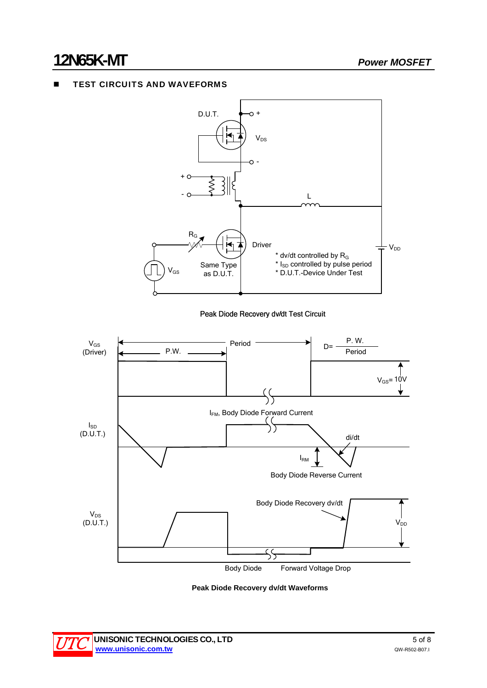### TEST CIRCUITS AND WAVEFORMS



Peak Diode Recovery dv/dt Test Circuit



 **Peak Diode Recovery dv/dt Waveforms** 

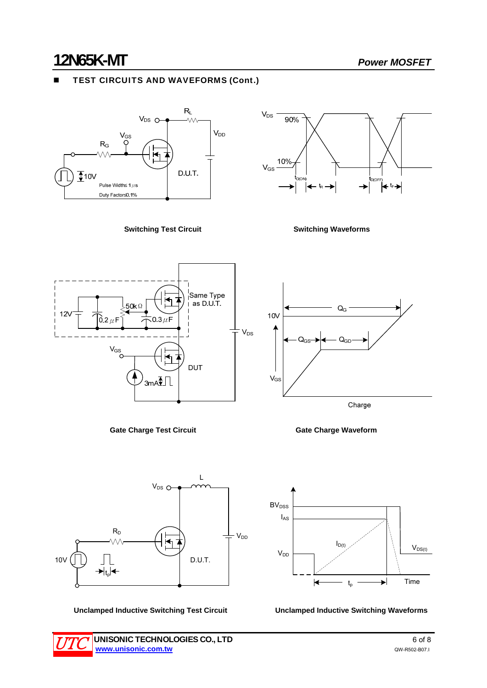### TEST CIRCUITS AND WAVEFORMS (Cont.)



**Switching Test Circuit Switching Waveforms** 













Unclamped Inductive Switching Test Circuit **Unclamped Inductive Switching Waveforms** 

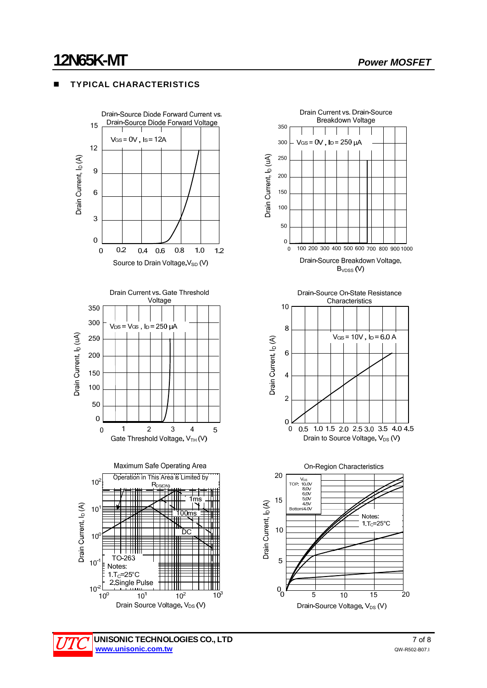### TYPICAL CHARACTERISTICS









Drain-Source Voltage, V<sub>DS</sub> (V)